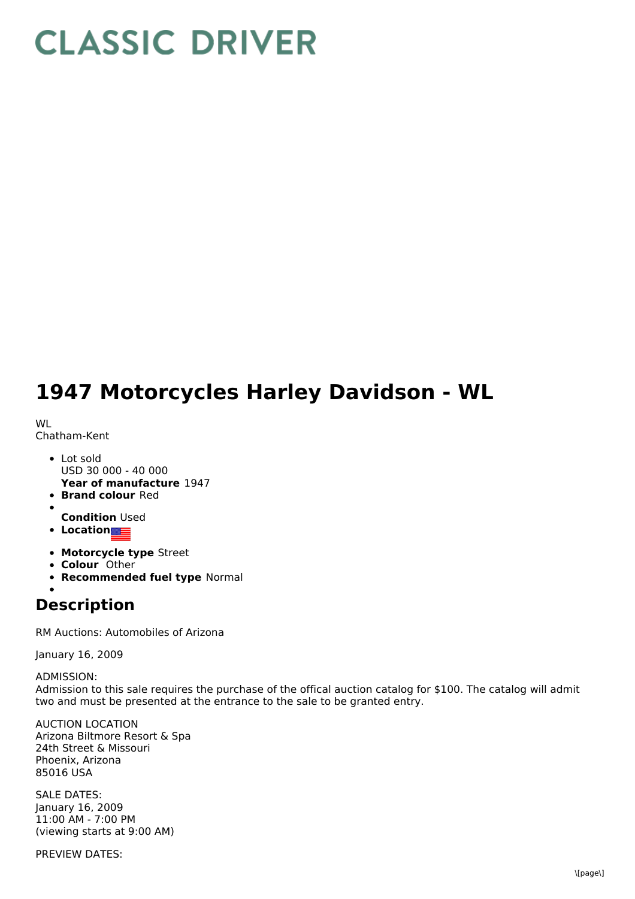## **CLASSIC DRIVER**

## **1947 Motorcycles Harley Davidson - WL**

WL Chatham-Kent

- **Year of manufacture** 1947 Lot sold USD 30 000 - 40 000
- **Brand colour** Red
- 
- **Condition** Used
- **Location**
- **Motorcycle type** Street
- **Colour** Other
- **Recommended fuel type** Normal

**Description**

RM Auctions: Automobiles of Arizona

January 16, 2009

ADMISSION: Admission to this sale requires the purchase of the offical auction catalog for \$100. The catalog will admit two and must be presented at the entrance to the sale to be granted entry.

AUCTION LOCATION Arizona Biltmore Resort & Spa 24th Street & Missouri Phoenix, Arizona 85016 USA

SALE DATES: January 16, 2009 11:00 AM - 7:00 PM (viewing starts at 9:00 AM)

PREVIEW DATES: